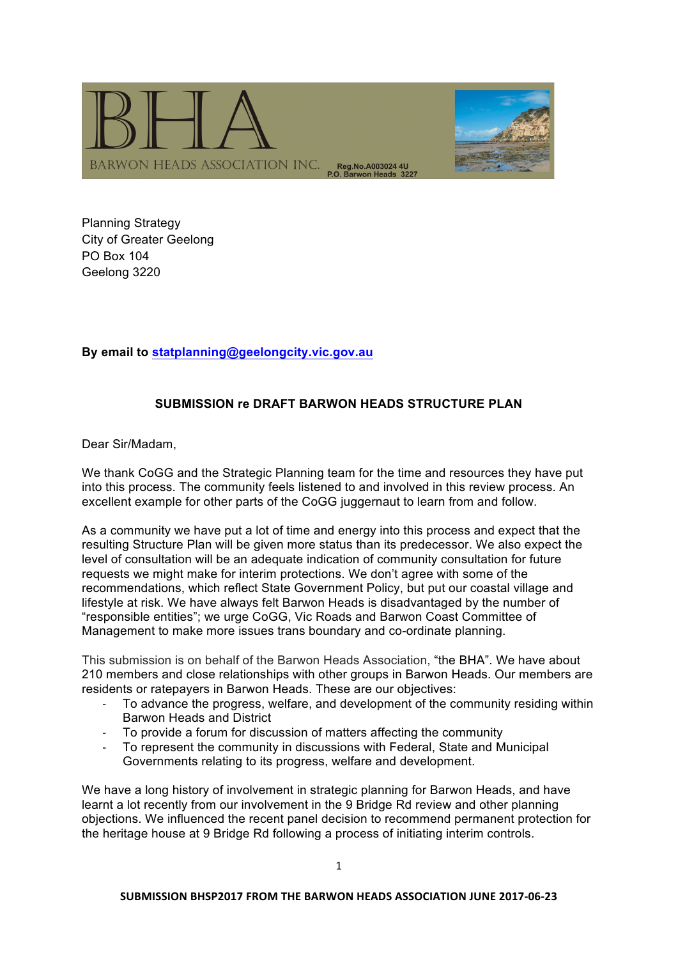

Planning Strategy City of Greater Geelong PO Box 104 Geelong 3220

# **By email to statplanning@geelongcity.vic.gov.au**

# **SUBMISSION re DRAFT BARWON HEADS STRUCTURE PLAN**

Dear Sir/Madam,

We thank CoGG and the Strategic Planning team for the time and resources they have put into this process. The community feels listened to and involved in this review process. An excellent example for other parts of the CoGG juggernaut to learn from and follow.

As a community we have put a lot of time and energy into this process and expect that the resulting Structure Plan will be given more status than its predecessor. We also expect the level of consultation will be an adequate indication of community consultation for future requests we might make for interim protections. We don't agree with some of the recommendations, which reflect State Government Policy, but put our coastal village and lifestyle at risk. We have always felt Barwon Heads is disadvantaged by the number of "responsible entities"; we urge CoGG, Vic Roads and Barwon Coast Committee of Management to make more issues trans boundary and co-ordinate planning.

This submission is on behalf of the Barwon Heads Association, "the BHA". We have about 210 members and close relationships with other groups in Barwon Heads. Our members are residents or ratepayers in Barwon Heads. These are our objectives:

- To advance the progress, welfare, and development of the community residing within Barwon Heads and District
- To provide a forum for discussion of matters affecting the community
- To represent the community in discussions with Federal, State and Municipal Governments relating to its progress, welfare and development.

We have a long history of involvement in strategic planning for Barwon Heads, and have learnt a lot recently from our involvement in the 9 Bridge Rd review and other planning objections. We influenced the recent panel decision to recommend permanent protection for the heritage house at 9 Bridge Rd following a process of initiating interim controls.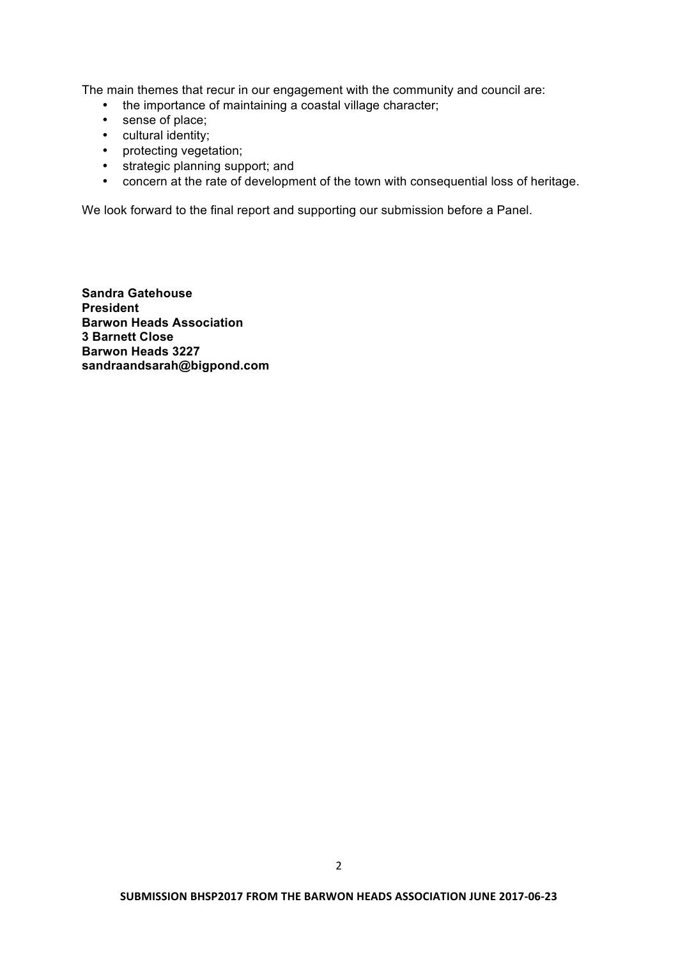The main themes that recur in our engagement with the community and council are:

- the importance of maintaining a coastal village character;
- sense of place;
- cultural identity;
- protecting vegetation;
- strategic planning support; and
- concern at the rate of development of the town with consequential loss of heritage.

We look forward to the final report and supporting our submission before a Panel.

**Sandra Gatehouse President Barwon Heads Association 3 Barnett Close Barwon Heads 3227 sandraandsarah@bigpond.com**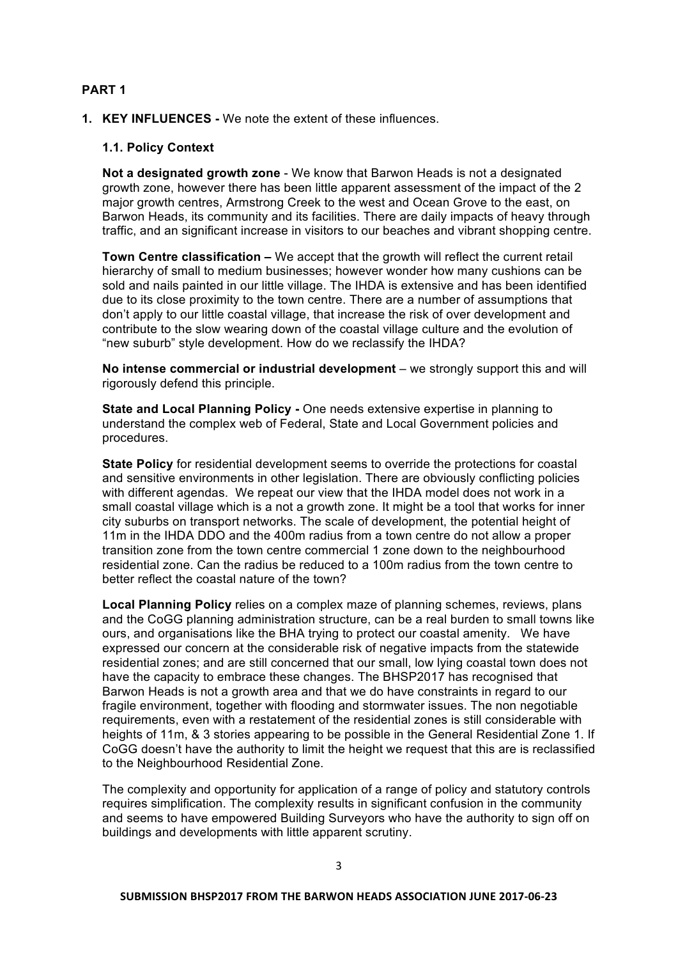## **PART 1**

**1. KEY INFLUENCES -** We note the extent of these influences.

#### **1.1. Policy Context**

**Not a designated growth zone** - We know that Barwon Heads is not a designated growth zone, however there has been little apparent assessment of the impact of the 2 major growth centres, Armstrong Creek to the west and Ocean Grove to the east, on Barwon Heads, its community and its facilities. There are daily impacts of heavy through traffic, and an significant increase in visitors to our beaches and vibrant shopping centre.

**Town Centre classification –** We accept that the growth will reflect the current retail hierarchy of small to medium businesses; however wonder how many cushions can be sold and nails painted in our little village. The IHDA is extensive and has been identified due to its close proximity to the town centre. There are a number of assumptions that don't apply to our little coastal village, that increase the risk of over development and contribute to the slow wearing down of the coastal village culture and the evolution of "new suburb" style development. How do we reclassify the IHDA?

**No intense commercial or industrial development** – we strongly support this and will rigorously defend this principle.

**State and Local Planning Policy -** One needs extensive expertise in planning to understand the complex web of Federal, State and Local Government policies and procedures.

**State Policy** for residential development seems to override the protections for coastal and sensitive environments in other legislation. There are obviously conflicting policies with different agendas. We repeat our view that the IHDA model does not work in a small coastal village which is a not a growth zone. It might be a tool that works for inner city suburbs on transport networks. The scale of development, the potential height of 11m in the IHDA DDO and the 400m radius from a town centre do not allow a proper transition zone from the town centre commercial 1 zone down to the neighbourhood residential zone. Can the radius be reduced to a 100m radius from the town centre to better reflect the coastal nature of the town?

**Local Planning Policy** relies on a complex maze of planning schemes, reviews, plans and the CoGG planning administration structure, can be a real burden to small towns like ours, and organisations like the BHA trying to protect our coastal amenity. We have expressed our concern at the considerable risk of negative impacts from the statewide residential zones; and are still concerned that our small, low lying coastal town does not have the capacity to embrace these changes. The BHSP2017 has recognised that Barwon Heads is not a growth area and that we do have constraints in regard to our fragile environment, together with flooding and stormwater issues. The non negotiable requirements, even with a restatement of the residential zones is still considerable with heights of 11m, & 3 stories appearing to be possible in the General Residential Zone 1. If CoGG doesn't have the authority to limit the height we request that this are is reclassified to the Neighbourhood Residential Zone.

The complexity and opportunity for application of a range of policy and statutory controls requires simplification. The complexity results in significant confusion in the community and seems to have empowered Building Surveyors who have the authority to sign off on buildings and developments with little apparent scrutiny.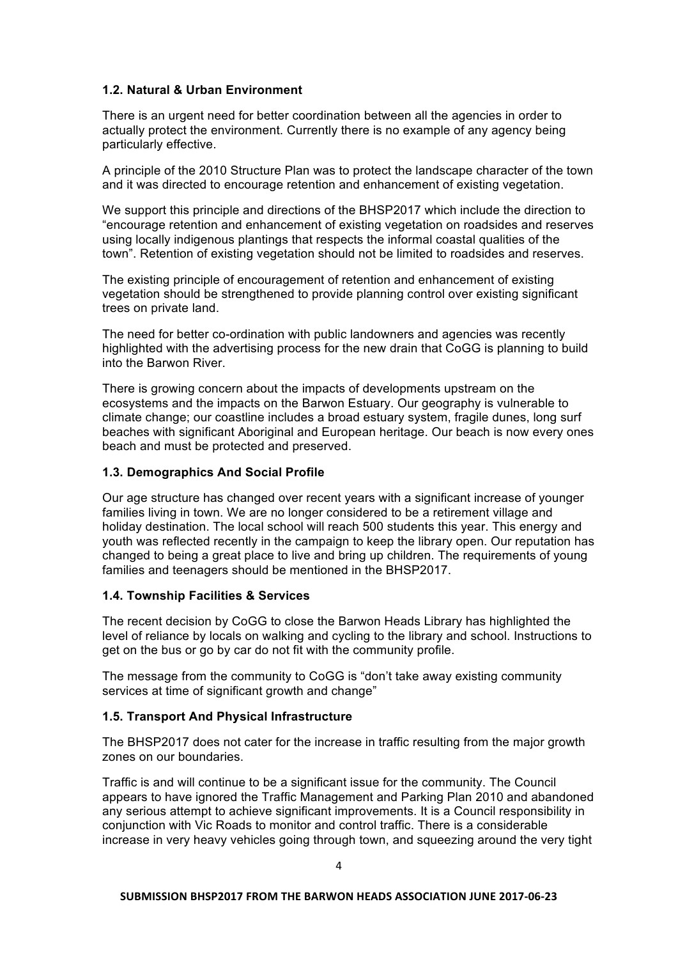# **1.2. Natural & Urban Environment**

There is an urgent need for better coordination between all the agencies in order to actually protect the environment. Currently there is no example of any agency being particularly effective.

A principle of the 2010 Structure Plan was to protect the landscape character of the town and it was directed to encourage retention and enhancement of existing vegetation.

We support this principle and directions of the BHSP2017 which include the direction to "encourage retention and enhancement of existing vegetation on roadsides and reserves using locally indigenous plantings that respects the informal coastal qualities of the town". Retention of existing vegetation should not be limited to roadsides and reserves.

The existing principle of encouragement of retention and enhancement of existing vegetation should be strengthened to provide planning control over existing significant trees on private land.

The need for better co-ordination with public landowners and agencies was recently highlighted with the advertising process for the new drain that CoGG is planning to build into the Barwon River.

There is growing concern about the impacts of developments upstream on the ecosystems and the impacts on the Barwon Estuary. Our geography is vulnerable to climate change; our coastline includes a broad estuary system, fragile dunes, long surf beaches with significant Aboriginal and European heritage. Our beach is now every ones beach and must be protected and preserved.

# **1.3. Demographics And Social Profile**

Our age structure has changed over recent years with a significant increase of younger families living in town. We are no longer considered to be a retirement village and holiday destination. The local school will reach 500 students this year. This energy and youth was reflected recently in the campaign to keep the library open. Our reputation has changed to being a great place to live and bring up children. The requirements of young families and teenagers should be mentioned in the BHSP2017.

# **1.4. Township Facilities & Services**

The recent decision by CoGG to close the Barwon Heads Library has highlighted the level of reliance by locals on walking and cycling to the library and school. Instructions to get on the bus or go by car do not fit with the community profile.

The message from the community to CoGG is "don't take away existing community services at time of significant growth and change"

### **1.5. Transport And Physical Infrastructure**

The BHSP2017 does not cater for the increase in traffic resulting from the major growth zones on our boundaries.

Traffic is and will continue to be a significant issue for the community. The Council appears to have ignored the Traffic Management and Parking Plan 2010 and abandoned any serious attempt to achieve significant improvements. It is a Council responsibility in conjunction with Vic Roads to monitor and control traffic. There is a considerable increase in very heavy vehicles going through town, and squeezing around the very tight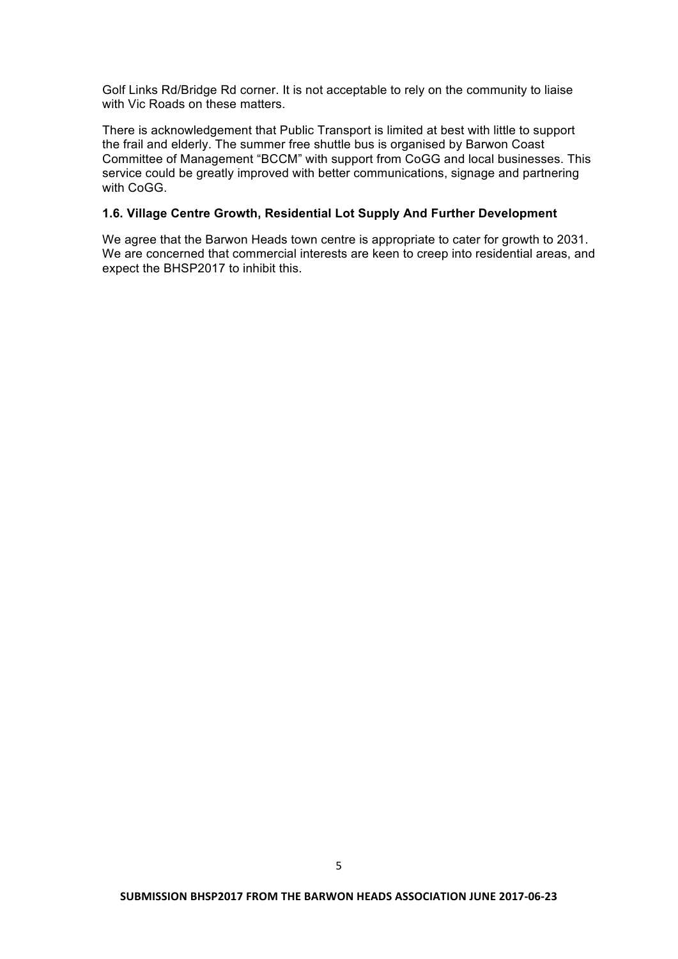Golf Links Rd/Bridge Rd corner. It is not acceptable to rely on the community to liaise with Vic Roads on these matters.

There is acknowledgement that Public Transport is limited at best with little to support the frail and elderly. The summer free shuttle bus is organised by Barwon Coast Committee of Management "BCCM" with support from CoGG and local businesses. This service could be greatly improved with better communications, signage and partnering with CoGG.

# **1.6. Village Centre Growth, Residential Lot Supply And Further Development**

We agree that the Barwon Heads town centre is appropriate to cater for growth to 2031. We are concerned that commercial interests are keen to creep into residential areas, and expect the BHSP2017 to inhibit this.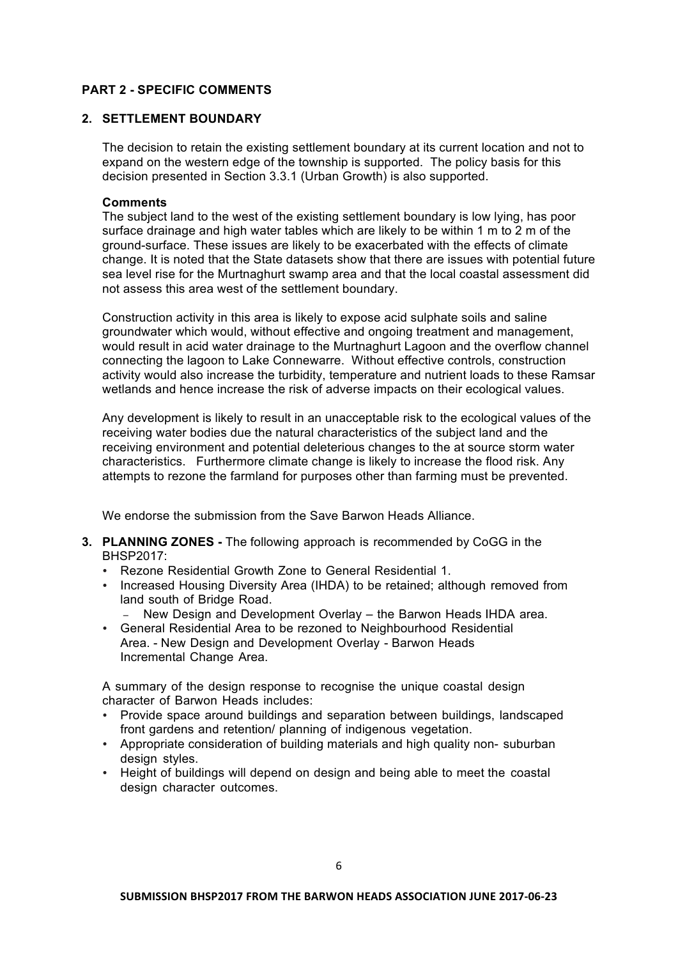# **PART 2 - SPECIFIC COMMENTS**

# **2. SETTLEMENT BOUNDARY**

The decision to retain the existing settlement boundary at its current location and not to expand on the western edge of the township is supported. The policy basis for this decision presented in Section 3.3.1 (Urban Growth) is also supported.

#### **Comments**

The subject land to the west of the existing settlement boundary is low lying, has poor surface drainage and high water tables which are likely to be within 1 m to 2 m of the ground-surface. These issues are likely to be exacerbated with the effects of climate change. It is noted that the State datasets show that there are issues with potential future sea level rise for the Murtnaghurt swamp area and that the local coastal assessment did not assess this area west of the settlement boundary.

Construction activity in this area is likely to expose acid sulphate soils and saline groundwater which would, without effective and ongoing treatment and management, would result in acid water drainage to the Murtnaghurt Lagoon and the overflow channel connecting the lagoon to Lake Connewarre. Without effective controls, construction activity would also increase the turbidity, temperature and nutrient loads to these Ramsar wetlands and hence increase the risk of adverse impacts on their ecological values.

Any development is likely to result in an unacceptable risk to the ecological values of the receiving water bodies due the natural characteristics of the subject land and the receiving environment and potential deleterious changes to the at source storm water characteristics. Furthermore climate change is likely to increase the flood risk. Any attempts to rezone the farmland for purposes other than farming must be prevented.

We endorse the submission from the Save Barwon Heads Alliance

- **3. PLANNING ZONES -** The following approach is recommended by CoGG in the BHSP2017:
	- Rezone Residential Growth Zone to General Residential 1.
	- Increased Housing Diversity Area (IHDA) to be retained; although removed from land south of Bridge Road.
		- − New Design and Development Overlay the Barwon Heads IHDA area.
	- General Residential Area to be rezoned to Neighbourhood Residential Area. - New Design and Development Overlay - Barwon Heads Incremental Change Area.

A summary of the design response to recognise the unique coastal design character of Barwon Heads includes:

- Provide space around buildings and separation between buildings, landscaped front gardens and retention/ planning of indigenous vegetation.
- Appropriate consideration of building materials and high quality non- suburban design styles.
- Height of buildings will depend on design and being able to meet the coastal design character outcomes.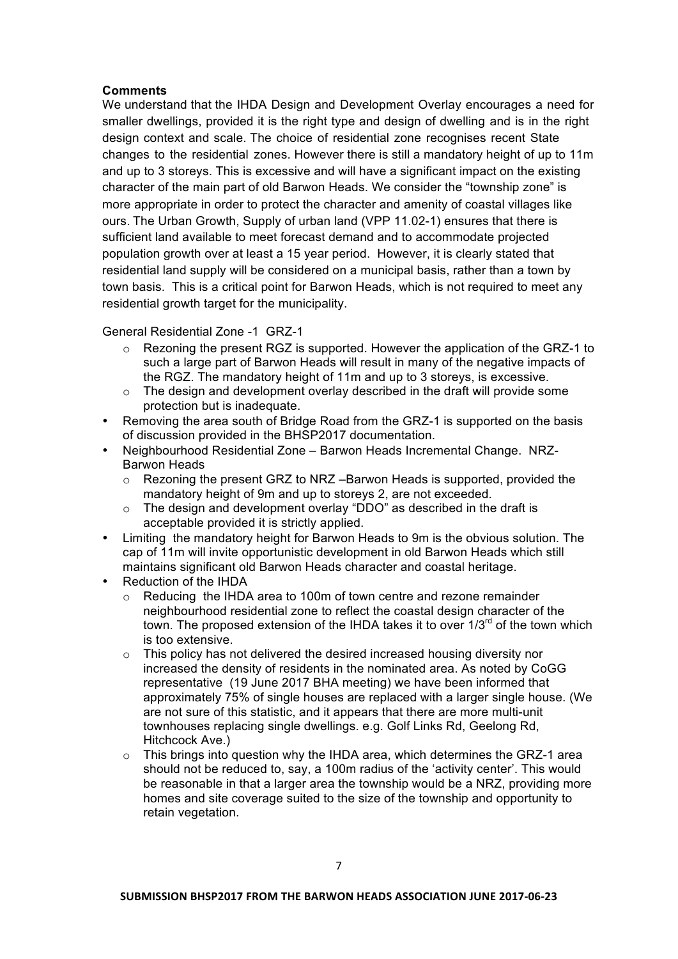# **Comments**

We understand that the IHDA Design and Development Overlay encourages a need for smaller dwellings, provided it is the right type and design of dwelling and is in the right design context and scale. The choice of residential zone recognises recent State changes to the residential zones. However there is still a mandatory height of up to 11m and up to 3 storeys. This is excessive and will have a significant impact on the existing character of the main part of old Barwon Heads. We consider the "township zone" is more appropriate in order to protect the character and amenity of coastal villages like ours. The Urban Growth, Supply of urban land (VPP 11.02-1) ensures that there is sufficient land available to meet forecast demand and to accommodate projected population growth over at least a 15 year period. However, it is clearly stated that residential land supply will be considered on a municipal basis, rather than a town by town basis. This is a critical point for Barwon Heads, which is not required to meet any residential growth target for the municipality.

General Residential Zone -1 GRZ-1

- $\circ$  Rezoning the present RGZ is supported. However the application of the GRZ-1 to such a large part of Barwon Heads will result in many of the negative impacts of the RGZ. The mandatory height of 11m and up to 3 storeys, is excessive.
- o The design and development overlay described in the draft will provide some protection but is inadequate.
- Removing the area south of Bridge Road from the GRZ-1 is supported on the basis of discussion provided in the BHSP2017 documentation.
- Neighbourhood Residential Zone Barwon Heads Incremental Change. NRZ-Barwon Heads
	- $\circ$  Rezoning the present GRZ to NRZ –Barwon Heads is supported, provided the mandatory height of 9m and up to storeys 2, are not exceeded.
	- o The design and development overlay "DDO" as described in the draft is acceptable provided it is strictly applied.
- Limiting the mandatory height for Barwon Heads to 9m is the obvious solution. The cap of 11m will invite opportunistic development in old Barwon Heads which still maintains significant old Barwon Heads character and coastal heritage.
- Reduction of the IHDA
	- o Reducing the IHDA area to 100m of town centre and rezone remainder neighbourhood residential zone to reflect the coastal design character of the town. The proposed extension of the IHDA takes it to over  $1/3^{rd}$  of the town which is too extensive.
	- o This policy has not delivered the desired increased housing diversity nor increased the density of residents in the nominated area. As noted by CoGG representative (19 June 2017 BHA meeting) we have been informed that approximately 75% of single houses are replaced with a larger single house. (We are not sure of this statistic, and it appears that there are more multi-unit townhouses replacing single dwellings. e.g. Golf Links Rd, Geelong Rd, Hitchcock Ave.)
	- $\circ$  This brings into question why the IHDA area, which determines the GRZ-1 area should not be reduced to, say, a 100m radius of the 'activity center'. This would be reasonable in that a larger area the township would be a NRZ, providing more homes and site coverage suited to the size of the township and opportunity to retain vegetation.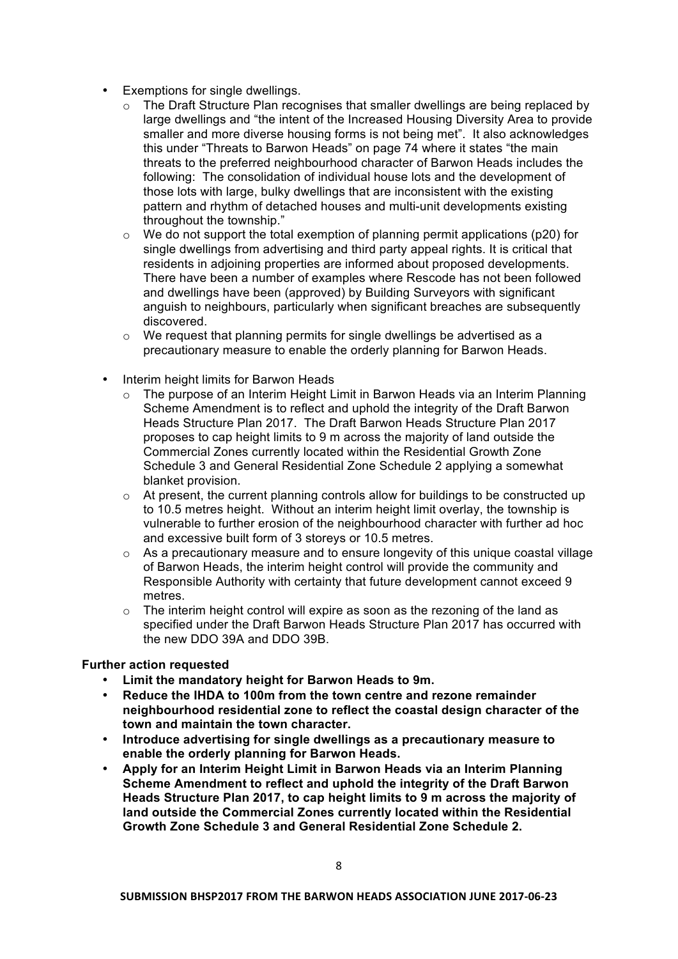- Exemptions for single dwellings.
	- $\circ$  The Draft Structure Plan recognises that smaller dwellings are being replaced by large dwellings and "the intent of the Increased Housing Diversity Area to provide smaller and more diverse housing forms is not being met". It also acknowledges this under "Threats to Barwon Heads" on page 74 where it states "the main threats to the preferred neighbourhood character of Barwon Heads includes the following: The consolidation of individual house lots and the development of those lots with large, bulky dwellings that are inconsistent with the existing pattern and rhythm of detached houses and multi-unit developments existing throughout the township."
	- $\circ$  We do not support the total exemption of planning permit applications (p20) for single dwellings from advertising and third party appeal rights. It is critical that residents in adjoining properties are informed about proposed developments. There have been a number of examples where Rescode has not been followed and dwellings have been (approved) by Building Surveyors with significant anguish to neighbours, particularly when significant breaches are subsequently discovered.
	- o We request that planning permits for single dwellings be advertised as a precautionary measure to enable the orderly planning for Barwon Heads.
- Interim height limits for Barwon Heads
	- o The purpose of an Interim Height Limit in Barwon Heads via an Interim Planning Scheme Amendment is to reflect and uphold the integrity of the Draft Barwon Heads Structure Plan 2017. The Draft Barwon Heads Structure Plan 2017 proposes to cap height limits to 9 m across the majority of land outside the Commercial Zones currently located within the Residential Growth Zone Schedule 3 and General Residential Zone Schedule 2 applying a somewhat blanket provision.
	- $\circ$  At present, the current planning controls allow for buildings to be constructed up to 10.5 metres height. Without an interim height limit overlay, the township is vulnerable to further erosion of the neighbourhood character with further ad hoc and excessive built form of 3 storeys or 10.5 metres.
	- $\circ$  As a precautionary measure and to ensure longevity of this unique coastal village of Barwon Heads, the interim height control will provide the community and Responsible Authority with certainty that future development cannot exceed 9 metres.
	- $\circ$  The interim height control will expire as soon as the rezoning of the land as specified under the Draft Barwon Heads Structure Plan 2017 has occurred with the new DDO 39A and DDO 39B.

# **Further action requested**

- **Limit the mandatory height for Barwon Heads to 9m.**
- **Reduce the IHDA to 100m from the town centre and rezone remainder neighbourhood residential zone to reflect the coastal design character of the town and maintain the town character.**
- **Introduce advertising for single dwellings as a precautionary measure to enable the orderly planning for Barwon Heads.**
- **Apply for an Interim Height Limit in Barwon Heads via an Interim Planning Scheme Amendment to reflect and uphold the integrity of the Draft Barwon Heads Structure Plan 2017, to cap height limits to 9 m across the majority of land outside the Commercial Zones currently located within the Residential Growth Zone Schedule 3 and General Residential Zone Schedule 2.**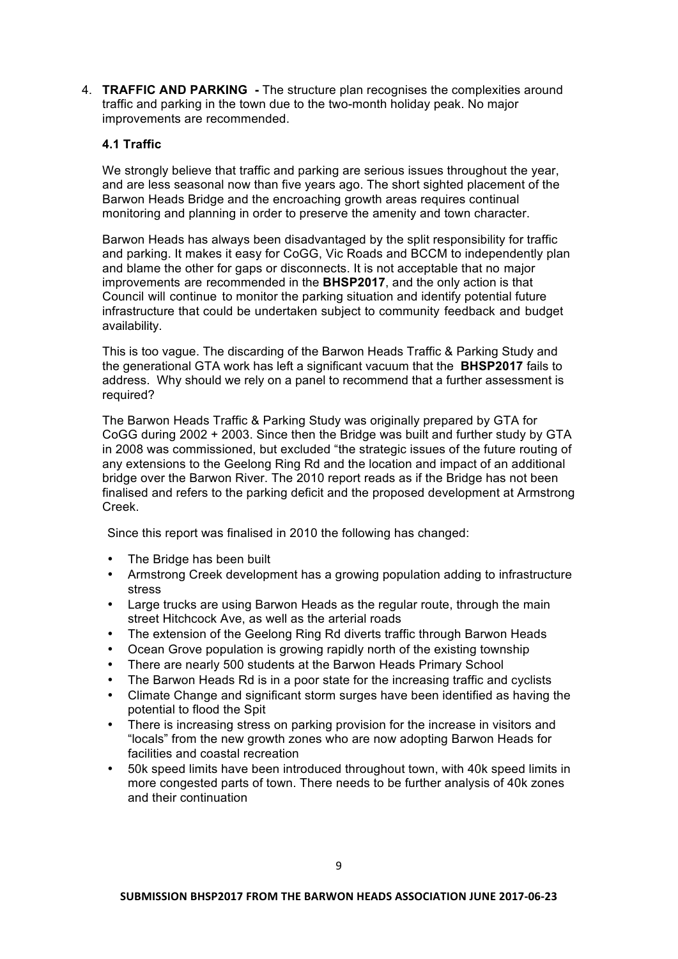4. **TRAFFIC AND PARKING -** The structure plan recognises the complexities around traffic and parking in the town due to the two-month holiday peak. No major improvements are recommended.

# **4.1 Traffic**

We strongly believe that traffic and parking are serious issues throughout the year. and are less seasonal now than five years ago. The short sighted placement of the Barwon Heads Bridge and the encroaching growth areas requires continual monitoring and planning in order to preserve the amenity and town character.

Barwon Heads has always been disadvantaged by the split responsibility for traffic and parking. It makes it easy for CoGG, Vic Roads and BCCM to independently plan and blame the other for gaps or disconnects. It is not acceptable that no major improvements are recommended in the **BHSP2017**, and the only action is that Council will continue to monitor the parking situation and identify potential future infrastructure that could be undertaken subject to community feedback and budget availability.

This is too vague. The discarding of the Barwon Heads Traffic & Parking Study and the generational GTA work has left a significant vacuum that the **BHSP2017** fails to address. Why should we rely on a panel to recommend that a further assessment is required?

The Barwon Heads Traffic & Parking Study was originally prepared by GTA for CoGG during 2002 + 2003. Since then the Bridge was built and further study by GTA in 2008 was commissioned, but excluded "the strategic issues of the future routing of any extensions to the Geelong Ring Rd and the location and impact of an additional bridge over the Barwon River. The 2010 report reads as if the Bridge has not been finalised and refers to the parking deficit and the proposed development at Armstrong Creek.

Since this report was finalised in 2010 the following has changed:

- The Bridge has been built
- Armstrong Creek development has a growing population adding to infrastructure stress
- Large trucks are using Barwon Heads as the regular route, through the main street Hitchcock Ave, as well as the arterial roads
- The extension of the Geelong Ring Rd diverts traffic through Barwon Heads
- Ocean Grove population is growing rapidly north of the existing township
- There are nearly 500 students at the Barwon Heads Primary School
- The Barwon Heads Rd is in a poor state for the increasing traffic and cyclists
- Climate Change and significant storm surges have been identified as having the potential to flood the Spit
- There is increasing stress on parking provision for the increase in visitors and "locals" from the new growth zones who are now adopting Barwon Heads for facilities and coastal recreation
- 50k speed limits have been introduced throughout town, with 40k speed limits in more congested parts of town. There needs to be further analysis of 40k zones and their continuation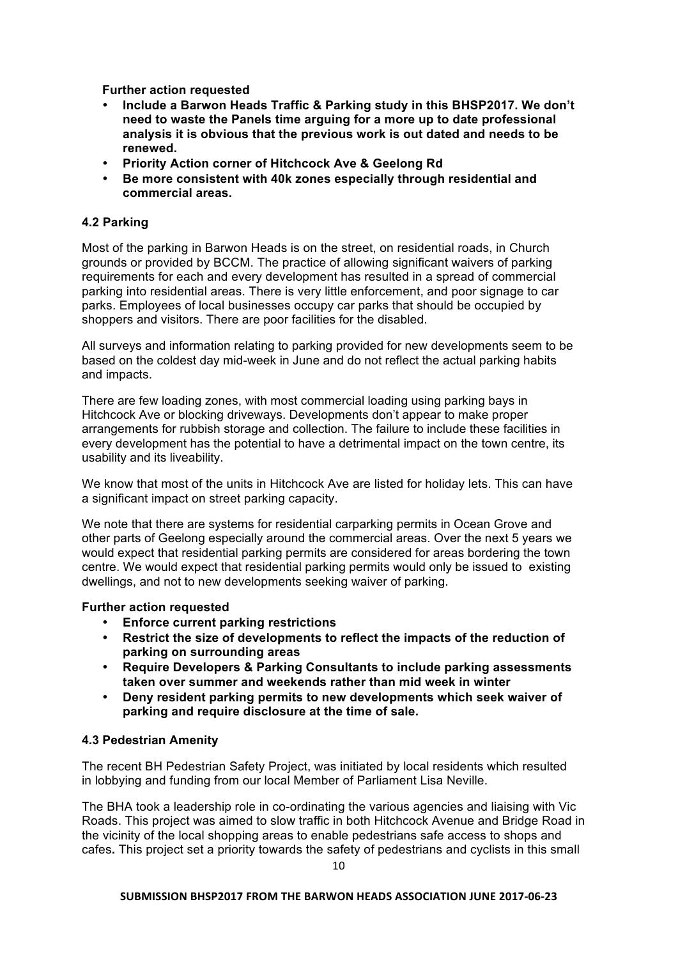**Further action requested**

- **Include a Barwon Heads Traffic & Parking study in this BHSP2017. We don't need to waste the Panels time arguing for a more up to date professional analysis it is obvious that the previous work is out dated and needs to be renewed.**
- **Priority Action corner of Hitchcock Ave & Geelong Rd**
- **Be more consistent with 40k zones especially through residential and commercial areas.**

### **4.2 Parking**

Most of the parking in Barwon Heads is on the street, on residential roads, in Church grounds or provided by BCCM. The practice of allowing significant waivers of parking requirements for each and every development has resulted in a spread of commercial parking into residential areas. There is very little enforcement, and poor signage to car parks. Employees of local businesses occupy car parks that should be occupied by shoppers and visitors. There are poor facilities for the disabled.

All surveys and information relating to parking provided for new developments seem to be based on the coldest day mid-week in June and do not reflect the actual parking habits and impacts.

There are few loading zones, with most commercial loading using parking bays in Hitchcock Ave or blocking driveways. Developments don't appear to make proper arrangements for rubbish storage and collection. The failure to include these facilities in every development has the potential to have a detrimental impact on the town centre, its usability and its liveability.

We know that most of the units in Hitchcock Ave are listed for holiday lets. This can have a significant impact on street parking capacity.

We note that there are systems for residential carparking permits in Ocean Grove and other parts of Geelong especially around the commercial areas. Over the next 5 years we would expect that residential parking permits are considered for areas bordering the town centre. We would expect that residential parking permits would only be issued to existing dwellings, and not to new developments seeking waiver of parking.

### **Further action requested**

- **Enforce current parking restrictions**
- **Restrict the size of developments to reflect the impacts of the reduction of parking on surrounding areas**
- **Require Developers & Parking Consultants to include parking assessments taken over summer and weekends rather than mid week in winter**
- **Deny resident parking permits to new developments which seek waiver of parking and require disclosure at the time of sale.**

### **4.3 Pedestrian Amenity**

The recent BH Pedestrian Safety Project, was initiated by local residents which resulted in lobbying and funding from our local Member of Parliament Lisa Neville.

The BHA took a leadership role in co-ordinating the various agencies and liaising with Vic Roads. This project was aimed to slow traffic in both Hitchcock Avenue and Bridge Road in the vicinity of the local shopping areas to enable pedestrians safe access to shops and cafes**.** This project set a priority towards the safety of pedestrians and cyclists in this small

#### SUBMISSION BHSP2017 FROM THE BARWON HEADS ASSOCIATION JUNE 2017-06-23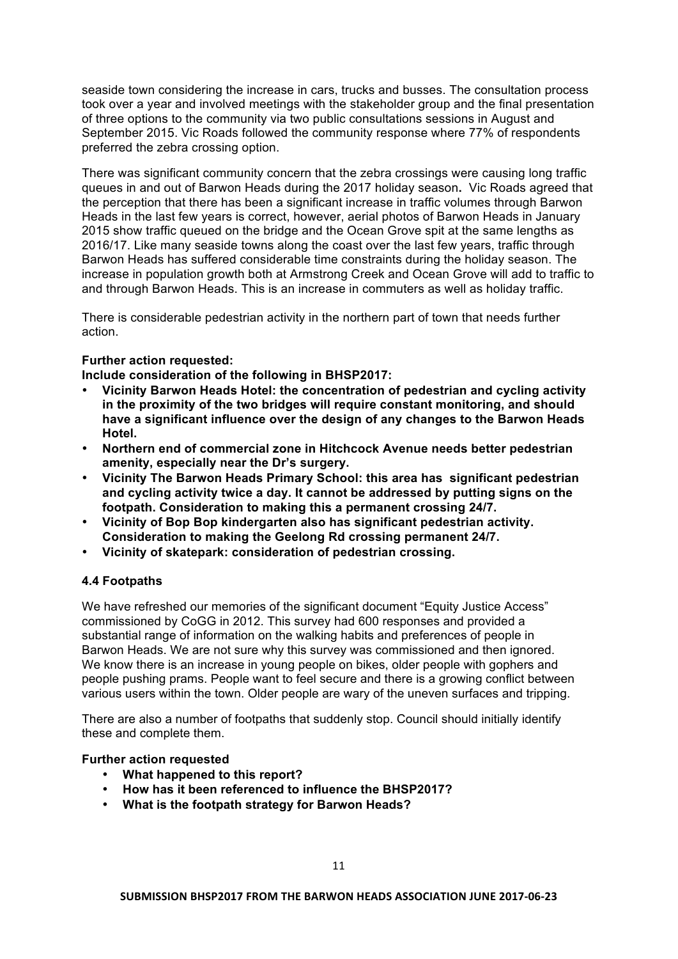seaside town considering the increase in cars, trucks and busses. The consultation process took over a year and involved meetings with the stakeholder group and the final presentation of three options to the community via two public consultations sessions in August and September 2015. Vic Roads followed the community response where 77% of respondents preferred the zebra crossing option.

There was significant community concern that the zebra crossings were causing long traffic queues in and out of Barwon Heads during the 2017 holiday season**.** Vic Roads agreed that the perception that there has been a significant increase in traffic volumes through Barwon Heads in the last few years is correct, however, aerial photos of Barwon Heads in January 2015 show traffic queued on the bridge and the Ocean Grove spit at the same lengths as 2016/17. Like many seaside towns along the coast over the last few years, traffic through Barwon Heads has suffered considerable time constraints during the holiday season. The increase in population growth both at Armstrong Creek and Ocean Grove will add to traffic to and through Barwon Heads. This is an increase in commuters as well as holiday traffic.

There is considerable pedestrian activity in the northern part of town that needs further action.

# **Further action requested:**

**Include consideration of the following in BHSP2017:**

- **Vicinity Barwon Heads Hotel: the concentration of pedestrian and cycling activity in the proximity of the two bridges will require constant monitoring, and should have a significant influence over the design of any changes to the Barwon Heads Hotel.**
- **Northern end of commercial zone in Hitchcock Avenue needs better pedestrian amenity, especially near the Dr's surgery.**
- **Vicinity The Barwon Heads Primary School: this area has significant pedestrian and cycling activity twice a day. It cannot be addressed by putting signs on the footpath. Consideration to making this a permanent crossing 24/7.**
- **Vicinity of Bop Bop kindergarten also has significant pedestrian activity. Consideration to making the Geelong Rd crossing permanent 24/7.**
- **Vicinity of skatepark: consideration of pedestrian crossing.**

### **4.4 Footpaths**

We have refreshed our memories of the significant document "Equity Justice Access" commissioned by CoGG in 2012. This survey had 600 responses and provided a substantial range of information on the walking habits and preferences of people in Barwon Heads. We are not sure why this survey was commissioned and then ignored. We know there is an increase in young people on bikes, older people with gophers and people pushing prams. People want to feel secure and there is a growing conflict between various users within the town. Older people are wary of the uneven surfaces and tripping.

There are also a number of footpaths that suddenly stop. Council should initially identify these and complete them.

### **Further action requested**

- **What happened to this report?**
- **How has it been referenced to influence the BHSP2017?**
- **What is the footpath strategy for Barwon Heads?**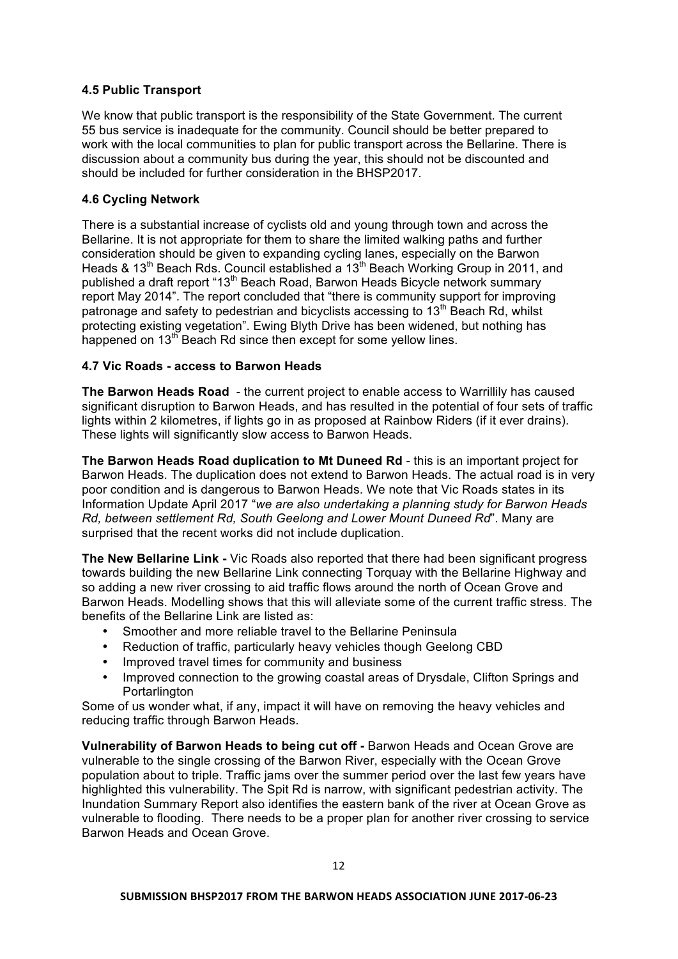# **4.5 Public Transport**

We know that public transport is the responsibility of the State Government. The current 55 bus service is inadequate for the community. Council should be better prepared to work with the local communities to plan for public transport across the Bellarine. There is discussion about a community bus during the year, this should not be discounted and should be included for further consideration in the BHSP2017.

# **4.6 Cycling Network**

There is a substantial increase of cyclists old and young through town and across the Bellarine. It is not appropriate for them to share the limited walking paths and further consideration should be given to expanding cycling lanes, especially on the Barwon Heads & 13<sup>th</sup> Beach Rds. Council established a 13<sup>th</sup> Beach Working Group in 2011, and published a draft report "13<sup>th</sup> Beach Road, Barwon Heads Bicycle network summary report May 2014". The report concluded that "there is community support for improving patronage and safety to pedestrian and bicyclists accessing to  $13<sup>th</sup>$  Beach Rd, whilst protecting existing vegetation". Ewing Blyth Drive has been widened, but nothing has happened on 13<sup>th</sup> Beach Rd since then except for some yellow lines.

# **4.7 Vic Roads - access to Barwon Heads**

**The Barwon Heads Road** - the current project to enable access to Warrillily has caused significant disruption to Barwon Heads, and has resulted in the potential of four sets of traffic lights within 2 kilometres, if lights go in as proposed at Rainbow Riders (if it ever drains). These lights will significantly slow access to Barwon Heads.

**The Barwon Heads Road duplication to Mt Duneed Rd** - this is an important project for Barwon Heads. The duplication does not extend to Barwon Heads. The actual road is in very poor condition and is dangerous to Barwon Heads. We note that Vic Roads states in its Information Update April 2017 "*we are also undertaking a planning study for Barwon Heads Rd, between settlement Rd, South Geelong and Lower Mount Duneed Rd*". Many are surprised that the recent works did not include duplication.

**The New Bellarine Link -** Vic Roads also reported that there had been significant progress towards building the new Bellarine Link connecting Torquay with the Bellarine Highway and so adding a new river crossing to aid traffic flows around the north of Ocean Grove and Barwon Heads. Modelling shows that this will alleviate some of the current traffic stress. The benefits of the Bellarine Link are listed as:

- Smoother and more reliable travel to the Bellarine Peninsula
- Reduction of traffic, particularly heavy vehicles though Geelong CBD
- Improved travel times for community and business
- Improved connection to the growing coastal areas of Drysdale, Clifton Springs and **Portarlington**

Some of us wonder what, if any, impact it will have on removing the heavy vehicles and reducing traffic through Barwon Heads.

**Vulnerability of Barwon Heads to being cut off -** Barwon Heads and Ocean Grove are vulnerable to the single crossing of the Barwon River, especially with the Ocean Grove population about to triple. Traffic jams over the summer period over the last few years have highlighted this vulnerability. The Spit Rd is narrow, with significant pedestrian activity. The Inundation Summary Report also identifies the eastern bank of the river at Ocean Grove as vulnerable to flooding. There needs to be a proper plan for another river crossing to service Barwon Heads and Ocean Grove.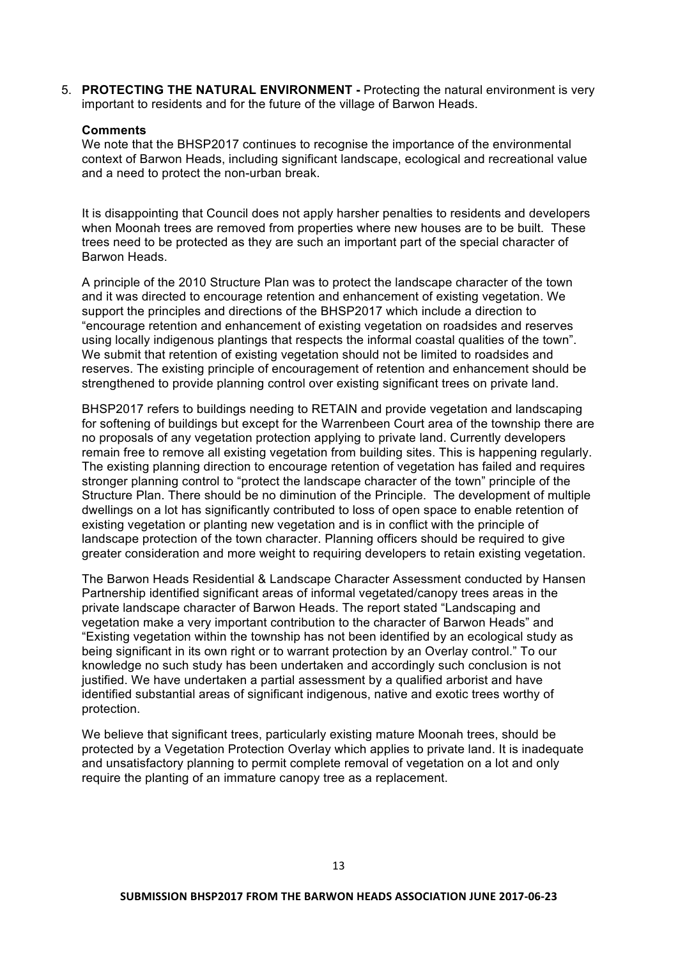5. **PROTECTING THE NATURAL ENVIRONMENT -** Protecting the natural environment is very important to residents and for the future of the village of Barwon Heads.

### **Comments**

We note that the BHSP2017 continues to recognise the importance of the environmental context of Barwon Heads, including significant landscape, ecological and recreational value and a need to protect the non-urban break.

It is disappointing that Council does not apply harsher penalties to residents and developers when Moonah trees are removed from properties where new houses are to be built. These trees need to be protected as they are such an important part of the special character of Barwon Heads.

A principle of the 2010 Structure Plan was to protect the landscape character of the town and it was directed to encourage retention and enhancement of existing vegetation. We support the principles and directions of the BHSP2017 which include a direction to "encourage retention and enhancement of existing vegetation on roadsides and reserves using locally indigenous plantings that respects the informal coastal qualities of the town". We submit that retention of existing vegetation should not be limited to roadsides and reserves. The existing principle of encouragement of retention and enhancement should be strengthened to provide planning control over existing significant trees on private land.

BHSP2017 refers to buildings needing to RETAIN and provide vegetation and landscaping for softening of buildings but except for the Warrenbeen Court area of the township there are no proposals of any vegetation protection applying to private land. Currently developers remain free to remove all existing vegetation from building sites. This is happening regularly. The existing planning direction to encourage retention of vegetation has failed and requires stronger planning control to "protect the landscape character of the town" principle of the Structure Plan. There should be no diminution of the Principle. The development of multiple dwellings on a lot has significantly contributed to loss of open space to enable retention of existing vegetation or planting new vegetation and is in conflict with the principle of landscape protection of the town character. Planning officers should be required to give greater consideration and more weight to requiring developers to retain existing vegetation.

The Barwon Heads Residential & Landscape Character Assessment conducted by Hansen Partnership identified significant areas of informal vegetated/canopy trees areas in the private landscape character of Barwon Heads. The report stated "Landscaping and vegetation make a very important contribution to the character of Barwon Heads" and "Existing vegetation within the township has not been identified by an ecological study as being significant in its own right or to warrant protection by an Overlay control." To our knowledge no such study has been undertaken and accordingly such conclusion is not justified. We have undertaken a partial assessment by a qualified arborist and have identified substantial areas of significant indigenous, native and exotic trees worthy of protection.

We believe that significant trees, particularly existing mature Moonah trees, should be protected by a Vegetation Protection Overlay which applies to private land. It is inadequate and unsatisfactory planning to permit complete removal of vegetation on a lot and only require the planting of an immature canopy tree as a replacement.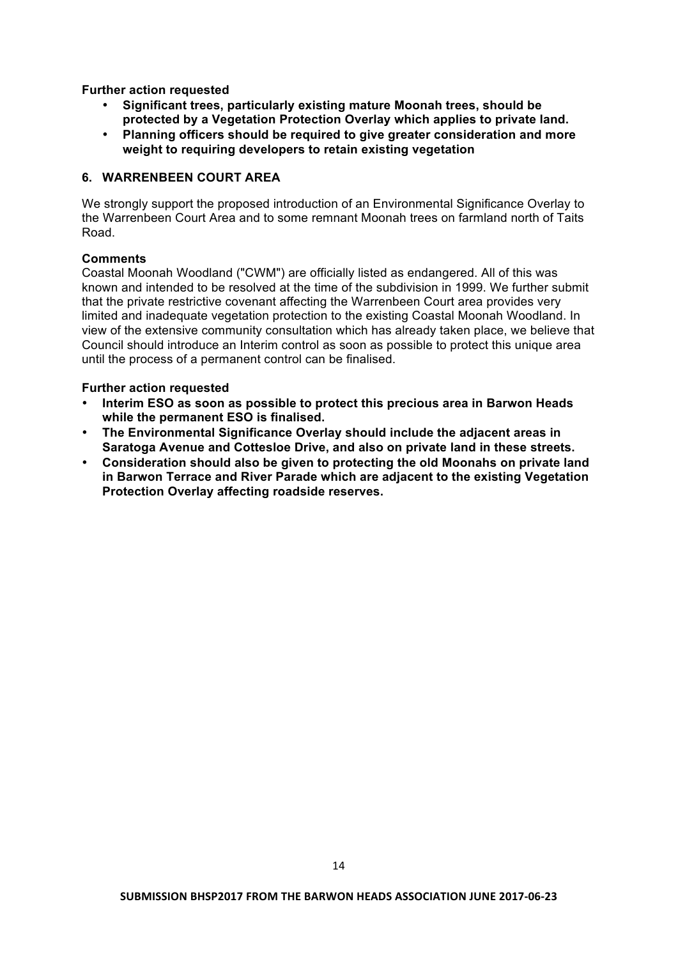**Further action requested**

- **Significant trees, particularly existing mature Moonah trees, should be protected by a Vegetation Protection Overlay which applies to private land.**
- **Planning officers should be required to give greater consideration and more weight to requiring developers to retain existing vegetation**

# **6. WARRENBEEN COURT AREA**

We strongly support the proposed introduction of an Environmental Significance Overlay to the Warrenbeen Court Area and to some remnant Moonah trees on farmland north of Taits Road.

# **Comments**

Coastal Moonah Woodland ("CWM") are officially listed as endangered. All of this was known and intended to be resolved at the time of the subdivision in 1999. We further submit that the private restrictive covenant affecting the Warrenbeen Court area provides very limited and inadequate vegetation protection to the existing Coastal Moonah Woodland. In view of the extensive community consultation which has already taken place, we believe that Council should introduce an Interim control as soon as possible to protect this unique area until the process of a permanent control can be finalised.

# **Further action requested**

- **Interim ESO as soon as possible to protect this precious area in Barwon Heads while the permanent ESO is finalised.**
- **The Environmental Significance Overlay should include the adjacent areas in Saratoga Avenue and Cottesloe Drive, and also on private land in these streets.**
- **Consideration should also be given to protecting the old Moonahs on private land in Barwon Terrace and River Parade which are adjacent to the existing Vegetation Protection Overlay affecting roadside reserves.**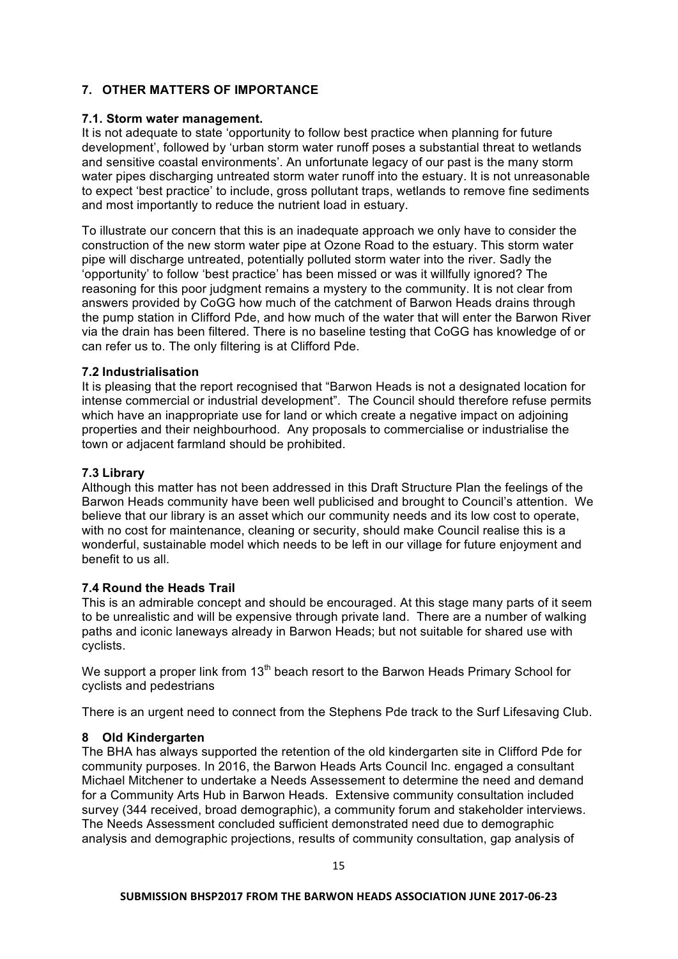# **7. OTHER MATTERS OF IMPORTANCE**

# **7.1. Storm water management.**

It is not adequate to state 'opportunity to follow best practice when planning for future development', followed by 'urban storm water runoff poses a substantial threat to wetlands and sensitive coastal environments'. An unfortunate legacy of our past is the many storm water pipes discharging untreated storm water runoff into the estuary. It is not unreasonable to expect 'best practice' to include, gross pollutant traps, wetlands to remove fine sediments and most importantly to reduce the nutrient load in estuary.

To illustrate our concern that this is an inadequate approach we only have to consider the construction of the new storm water pipe at Ozone Road to the estuary. This storm water pipe will discharge untreated, potentially polluted storm water into the river. Sadly the 'opportunity' to follow 'best practice' has been missed or was it willfully ignored? The reasoning for this poor judgment remains a mystery to the community. It is not clear from answers provided by CoGG how much of the catchment of Barwon Heads drains through the pump station in Clifford Pde, and how much of the water that will enter the Barwon River via the drain has been filtered. There is no baseline testing that CoGG has knowledge of or can refer us to. The only filtering is at Clifford Pde.

# **7.2 Industrialisation**

It is pleasing that the report recognised that "Barwon Heads is not a designated location for intense commercial or industrial development". The Council should therefore refuse permits which have an inappropriate use for land or which create a negative impact on adjoining properties and their neighbourhood. Any proposals to commercialise or industrialise the town or adjacent farmland should be prohibited.

# **7.3 Library**

Although this matter has not been addressed in this Draft Structure Plan the feelings of the Barwon Heads community have been well publicised and brought to Council's attention. We believe that our library is an asset which our community needs and its low cost to operate, with no cost for maintenance, cleaning or security, should make Council realise this is a wonderful, sustainable model which needs to be left in our village for future enjoyment and benefit to us all.

# **7.4 Round the Heads Trail**

This is an admirable concept and should be encouraged. At this stage many parts of it seem to be unrealistic and will be expensive through private land. There are a number of walking paths and iconic laneways already in Barwon Heads; but not suitable for shared use with cyclists.

We support a proper link from  $13<sup>th</sup>$  beach resort to the Barwon Heads Primary School for cyclists and pedestrians

There is an urgent need to connect from the Stephens Pde track to the Surf Lifesaving Club.

### **8 Old Kindergarten**

The BHA has always supported the retention of the old kindergarten site in Clifford Pde for community purposes. In 2016, the Barwon Heads Arts Council Inc. engaged a consultant Michael Mitchener to undertake a Needs Assessement to determine the need and demand for a Community Arts Hub in Barwon Heads. Extensive community consultation included survey (344 received, broad demographic), a community forum and stakeholder interviews. The Needs Assessment concluded sufficient demonstrated need due to demographic analysis and demographic projections, results of community consultation, gap analysis of